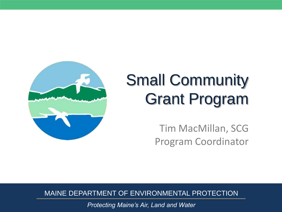

## Small Community Grant Program

Tim MacMillan, SCG Program Coordinator

MAINE DEPARTMENT OF ENVIRONMENTAL PROTECTION

*Protecting Maine's Air, Land and Water*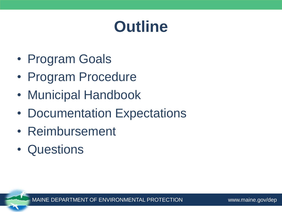### **Outline**

- Program Goals
- Program Procedure
- Municipal Handbook
- Documentation Expectations
- Reimbursement
- Questions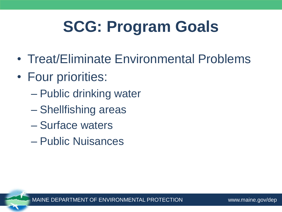## **SCG: Program Goals**

- Treat/Eliminate Environmental Problems
- Four priorities:
	- Public drinking water
	- Shellfishing areas
	- Surface waters
	- Public Nuisances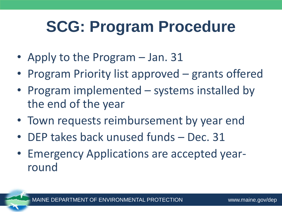### **SCG: Program Procedure**

- Apply to the Program Jan. 31
- Program Priority list approved grants offered
- Program implemented systems installed by the end of the year
- Town requests reimbursement by year end
- DEP takes back unused funds Dec. 31
- Emergency Applications are accepted yearround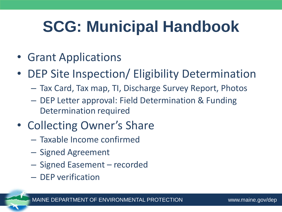## **SCG: Municipal Handbook**

- Grant Applications
- DEP Site Inspection/ Eligibility Determination
	- Tax Card, Tax map, TI, Discharge Survey Report, Photos
	- DEP Letter approval: Field Determination & Funding Determination required
- Collecting Owner's Share
	- Taxable Income confirmed
	- Signed Agreement
	- Signed Easement recorded
	- DEP verification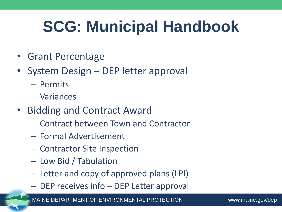## **SCG: Municipal Handbook**

- Grant Percentage
- System Design DEP letter approval
	- Permits
	- Variances
- Bidding and Contract Award
	- Contract between Town and Contractor
	- Formal Advertisement
	- Contractor Site Inspection
	- Low Bid / Tabulation
	- Letter and copy of approved plans (LPI)
	- DEP receives info DEP Letter approval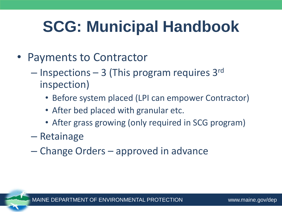## **SCG: Municipal Handbook**

- Payments to Contractor
	- Inspections 3 (This program requires 3rd inspection)
		- Before system placed (LPI can empower Contractor)
		- After bed placed with granular etc.
		- After grass growing (only required in SCG program)
	- Retainage
	- Change Orders approved in advance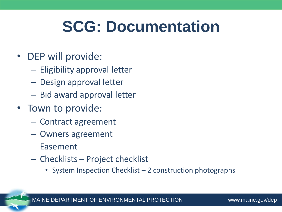#### **SCG: Documentation**

- DEP will provide:
	- Eligibility approval letter
	- Design approval letter
	- Bid award approval letter
- Town to provide:
	- Contract agreement
	- Owners agreement
	- Easement
	- Checklists Project checklist
		- System Inspection Checklist 2 construction photographs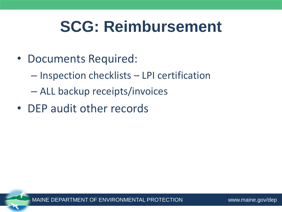#### **SCG: Reimbursement**

- Documents Required:
	- Inspection checklists LPI certification
	- ALL backup receipts/invoices
- DEP audit other records

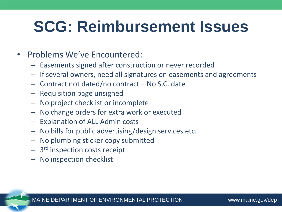#### **SCG: Reimbursement Issues**

- Problems We've Encountered:
	- Easements signed after construction or never recorded
	- If several owners, need all signatures on easements and agreements
	- Contract not dated/no contract No S.C. date
	- Requisition page unsigned
	- No project checklist or incomplete
	- No change orders for extra work or executed
	- Explanation of ALL Admin costs
	- No bills for public advertising/design services etc.
	- No plumbing sticker copy submitted
	- 3<sup>rd</sup> inspection costs receipt
	- No inspection checklist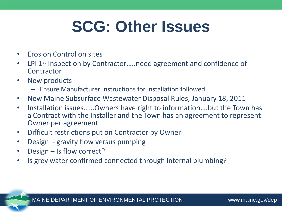### **SCG: Other Issues**

- Erosion Control on sites
- LPI 1<sup>st</sup> Inspection by Contractor.....need agreement and confidence of **Contractor**
- New products
	- Ensure Manufacturer instructions for installation followed
- New Maine Subsurface Wastewater Disposal Rules, January 18, 2011
- Installation issues……Owners have right to information….but the Town has a Contract with the Installer and the Town has an agreement to represent Owner per agreement
- Difficult restrictions put on Contractor by Owner
- Design gravity flow versus pumping
- Design Is flow correct?
- Is grey water confirmed connected through internal plumbing?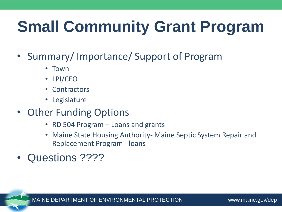# **Small Community Grant Program**

- Summary/ Importance/ Support of Program
	- Town
	- LPI/CEO
	- Contractors
	- Legislature
- Other Funding Options
	- RD 504 Program Loans and grants
	- Maine State Housing Authority- Maine Septic System Repair and Replacement Program - loans
- Questions ????